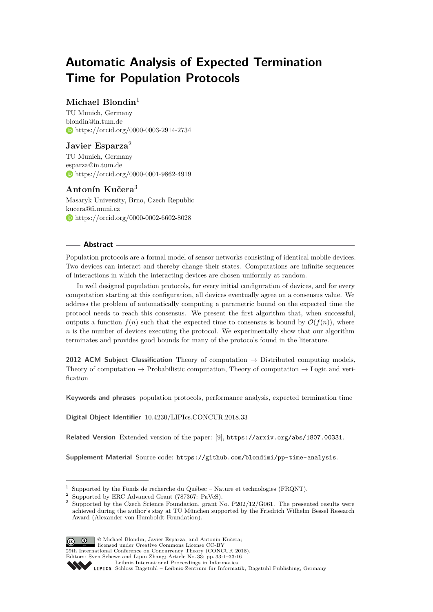# **Automatic Analysis of Expected Termination Time for Population Protocols**

# **Michael Blondin**<sup>1</sup>

TU Munich, Germany [blondin@in.tum.de](mailto:blondin@in.tum.de) <https://orcid.org/0000-0003-2914-2734>

# **Javier Esparza**<sup>2</sup>

TU Munich, Germany [esparza@in.tum.de](mailto:esparza@in.tum.de) <https://orcid.org/0000-0001-9862-4919>

# **Antonín Kučera**<sup>3</sup>

Masaryk University, Brno, Czech Republic [kucera@fi.muni.cz](mailto:kucera@fi.muni.cz) <https://orcid.org/0000-0002-6602-8028>

## **Abstract**

Population protocols are a formal model of sensor networks consisting of identical mobile devices. Two devices can interact and thereby change their states. Computations are infinite sequences of interactions in which the interacting devices are chosen uniformly at random.

In well designed population protocols, for every initial configuration of devices, and for every computation starting at this configuration, all devices eventually agree on a consensus value. We address the problem of automatically computing a parametric bound on the expected time the protocol needs to reach this consensus. We present the first algorithm that, when successful, outputs a function  $f(n)$  such that the expected time to consensus is bound by  $\mathcal{O}(f(n))$ , where *n* is the number of devices executing the protocol. We experimentally show that our algorithm terminates and provides good bounds for many of the protocols found in the literature.

**2012 ACM Subject Classification** Theory of computation  $\rightarrow$  Distributed computing models, Theory of computation  $\rightarrow$  Probabilistic computation, Theory of computation  $\rightarrow$  Logic and verification

**Keywords and phrases** population protocols, performance analysis, expected termination time

**Digital Object Identifier** [10.4230/LIPIcs.CONCUR.2018.33](http://dx.doi.org/10.4230/LIPIcs.CONCUR.2018.33)

**Related Version** Extended version of the paper: [\[9\]](#page-15-0), <https://arxiv.org/abs/1807.00331>.

**Supplement Material** Source code: <https://github.com/blondimi/pp-time-analysis>.

<sup>&</sup>lt;sup>3</sup> Supported by the Czech Science Foundation, grant No. P202/12/G061. The presented results were achieved during the author's stay at TU München supported by the Friedrich Wilhelm Bessel Research Award (Alexander von Humboldt Foundation).



© Michael Blondin, Javier Esparza, and Antonín Kučera;

**29th International Conference on Concurrency Theory (CONCUR 2018).** 

Editors: Sven Schewe and Lijun Zhang; Article No. 33; pp. 33:1–33[:16](#page-15-1)

 $1$  Supported by the Fonds de recherche du Québec – Nature et technologies (FRQNT).

<sup>2</sup> Supported by ERC Advanced Grant (787367: PaVeS).

[Leibniz International Proceedings in Informatics](http://www.dagstuhl.de/lipics/)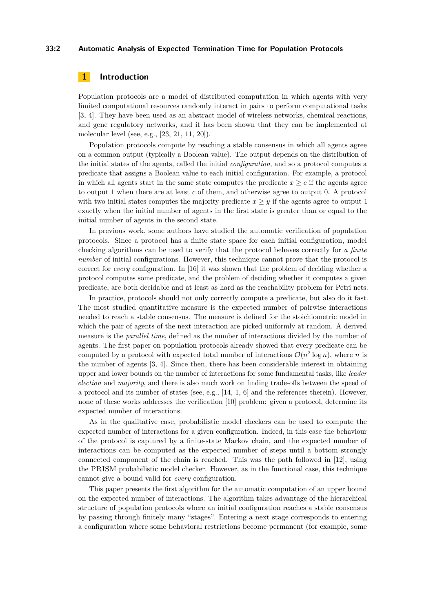#### **33:2 Automatic Analysis of Expected Termination Time for Population Protocols**

## **1 Introduction**

Population protocols are a model of distributed computation in which agents with very limited computational resources randomly interact in pairs to perform computational tasks [\[3,](#page-14-0) [4\]](#page-14-1). They have been used as an abstract model of wireless networks, chemical reactions, and gene regulatory networks, and it has been shown that they can be implemented at molecular level (see, e.g., [\[23,](#page-15-2) [21,](#page-15-3) [11,](#page-15-4) [20\]](#page-15-5)).

Population protocols compute by reaching a stable consensus in which all agents agree on a common output (typically a Boolean value). The output depends on the distribution of the initial states of the agents, called the initial *configuration*, and so a protocol computes a predicate that assigns a Boolean value to each initial configuration. For example, a protocol in which all agents start in the same state computes the predicate  $x > c$  if the agents agree to output 1 when there are at least *c* of them, and otherwise agree to output 0. A protocol with two initial states computes the majority predicate  $x \geq y$  if the agents agree to output 1 exactly when the initial number of agents in the first state is greater than or equal to the initial number of agents in the second state.

In previous work, some authors have studied the automatic verification of population protocols. Since a protocol has a finite state space for each initial configuration, model checking algorithms can be used to verify that the protocol behaves correctly for *a finite number* of initial configurations. However, this technique cannot prove that the protocol is correct for *every* configuration. In [\[16\]](#page-15-6) it was shown that the problem of deciding whether a protocol computes some predicate, and the problem of deciding whether it computes a given predicate, are both decidable and at least as hard as the reachability problem for Petri nets.

In practice, protocols should not only correctly compute a predicate, but also do it fast. The most studied quantitative measure is the expected number of pairwise interactions needed to reach a stable consensus. The measure is defined for the stoichiometric model in which the pair of agents of the next interaction are picked uniformly at random. A derived measure is the *parallel time*, defined as the number of interactions divided by the number of agents. The first paper on population protocols already showed that every predicate can be computed by a protocol with expected total number of interactions  $\mathcal{O}(n^2 \log n)$ , where *n* is the number of agents [\[3,](#page-14-0) [4\]](#page-14-1). Since then, there has been considerable interest in obtaining upper and lower bounds on the number of interactions for some fundamental tasks, like *leader election* and *majority*, and there is also much work on finding trade-offs between the speed of a protocol and its number of states (see, e.g., [\[14,](#page-15-7) [1,](#page-14-2) [6\]](#page-14-3) and the references therein). However, none of these works addresses the verification [\[10\]](#page-15-8) problem: given a protocol, determine its expected number of interactions.

As in the qualitative case, probabilistic model checkers can be used to compute the expected number of interactions for a given configuration. Indeed, in this case the behaviour of the protocol is captured by a finite-state Markov chain, and the expected number of interactions can be computed as the expected number of steps until a bottom strongly connected component of the chain is reached. This was the path followed in [\[12\]](#page-15-9), using the PRISM probabilistic model checker. However, as in the functional case, this technique cannot give a bound valid for *every* configuration.

This paper presents the first algorithm for the automatic computation of an upper bound on the expected number of interactions. The algorithm takes advantage of the hierarchical structure of population protocols where an initial configuration reaches a stable consensus by passing through finitely many "stages". Entering a next stage corresponds to entering a configuration where some behavioral restrictions become permanent (for example, some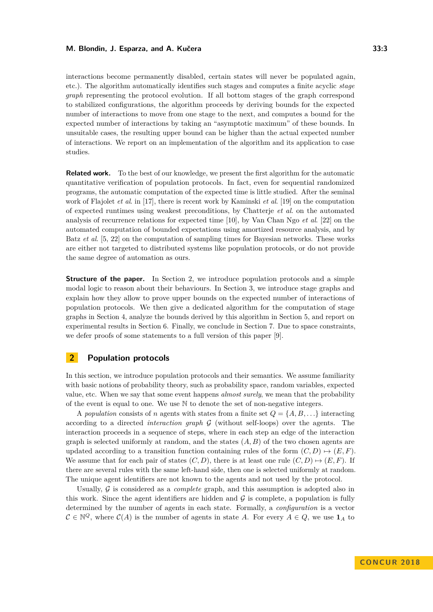interactions become permanently disabled, certain states will never be populated again, etc.). The algorithm automatically identifies such stages and computes a finite acyclic *stage graph* representing the protocol evolution. If all bottom stages of the graph correspond to stabilized configurations, the algorithm proceeds by deriving bounds for the expected number of interactions to move from one stage to the next, and computes a bound for the expected number of interactions by taking an "asymptotic maximum" of these bounds. In unsuitable cases, the resulting upper bound can be higher than the actual expected number of interactions. We report on an implementation of the algorithm and its application to case studies.

**Related work.** To the best of our knowledge, we present the first algorithm for the automatic quantitative verification of population protocols. In fact, even for sequential randomized programs, the automatic computation of the expected time is little studied. After the seminal work of Flajolet *et al*. in [\[17\]](#page-15-10), there is recent work by Kaminski *et al*. [\[19\]](#page-15-11) on the computation of expected runtimes using weakest preconditions, by Chatterje *et al*. on the automated analysis of recurrence relations for expected time [\[10\]](#page-15-8), by Van Chan Ngo *et al*. [\[22\]](#page-15-12) on the automated computation of bounded expectations using amortized resource analysis, and by Batz *et al*. [\[5,](#page-14-4) [22\]](#page-15-12) on the computation of sampling times for Bayesian networks. These works are either not targeted to distributed systems like population protocols, or do not provide the same degree of automation as ours.

**Structure of the paper.** In Section [2,](#page-2-0) we introduce population protocols and a simple modal logic to reason about their behaviours. In Section [3,](#page-5-0) we introduce stage graphs and explain how they allow to prove upper bounds on the expected number of interactions of population protocols. We then give a dedicated algorithm for the computation of stage graphs in Section [4,](#page-7-0) analyze the bounds derived by this algorithm in Section [5,](#page-12-0) and report on experimental results in Section [6.](#page-13-0) Finally, we conclude in Section [7.](#page-14-5) Due to space constraints, we defer proofs of some statements to a full version of this paper [\[9\]](#page-15-0).

# <span id="page-2-0"></span>**2 Population protocols**

In this section, we introduce population protocols and their semantics. We assume familiarity with basic notions of probability theory, such as probability space, random variables, expected value, etc. When we say that some event happens *almost surely*, we mean that the probability of the event is equal to one. We use N to denote the set of non-negative integers.

A *population* consists of *n* agents with states from a finite set  $Q = \{A, B, \ldots\}$  interacting according to a directed *interaction graph* G (without self-loops) over the agents. The interaction proceeds in a sequence of steps, where in each step an edge of the interaction graph is selected uniformly at random, and the states  $(A, B)$  of the two chosen agents are updated according to a transition function containing rules of the form  $(C, D) \mapsto (E, F)$ . We assume that for each pair of states  $(C, D)$ , there is at least one rule  $(C, D) \mapsto (E, F)$ . If there are several rules with the same left-hand side, then one is selected uniformly at random. The unique agent identifiers are not known to the agents and not used by the protocol.

Usually, G is considered as a *complete* graph, and this assumption is adopted also in this work. Since the agent identifiers are hidden and  $\mathcal G$  is complete, a population is fully determined by the number of agents in each state. Formally, a *configuration* is a vector  $C \in \mathbb{N}^Q$ , where  $C(A)$  is the number of agents in state *A*. For every  $A \in Q$ , we use  $\mathbf{1}_A$  to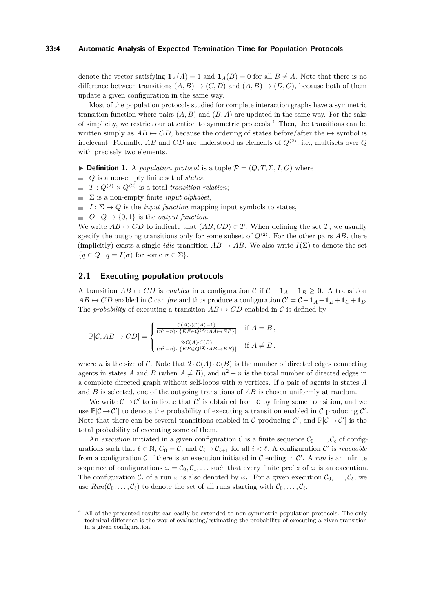#### **33:4 Automatic Analysis of Expected Termination Time for Population Protocols**

denote the vector satisfying  $\mathbf{1}_A(A) = 1$  and  $\mathbf{1}_A(B) = 0$  for all  $B \neq A$ . Note that there is no difference between transitions  $(A, B) \mapsto (C, D)$  and  $(A, B) \mapsto (D, C)$ , because both of them update a given configuration in the same way.

Most of the population protocols studied for complete interaction graphs have a symmetric transition function where pairs  $(A, B)$  and  $(B, A)$  are updated in the same way. For the sake of simplicity, we restrict our attention to symmetric protocols.[4](#page-3-0) Then, the transitions can be written simply as  $AB \mapsto CD$ , because the ordering of states before/after the  $\mapsto$  symbol is irrelevant. Formally,  $AB$  and  $CD$  are understood as elements of  $Q^{\langle 2 \rangle}$ , i.e., multisets over  $Q$ with precisely two elements.

 $\triangleright$  **Definition 1.** A *population protocol* is a tuple  $\mathcal{P} = (Q, T, \Sigma, I, O)$  where

- *Q* is a non-empty finite set of *states*;
- $T: Q^{\langle 2 \rangle} \times Q^{\langle 2 \rangle}$  is a total *transition relation*;
- $\sum$  is a non-empty finite *input alphabet*,
- $I: \Sigma \to Q$  is the *input function* mapping input symbols to states,
- $O: Q \to \{0, 1\}$  is the *output function*.

We write  $AB \mapsto CD$  to indicate that  $(AB, CD) \in T$ . When defining the set *T*, we usually specify the outgoing transitions only for some subset of  $Q^{(2)}$ . For the other pairs AB, there (implicitly) exists a single *idle* transition  $AB \mapsto AB$ . We also write  $I(\Sigma)$  to denote the set  ${q \in Q \mid q = I(\sigma) \text{ for some } \sigma \in \Sigma}.$ 

## **2.1 Executing population protocols**

A transition  $AB$  →  $CD$  is *enabled* in a configuration C if  $C - 1_A - 1_B ≥ 0$ . A transition  $AB \mapsto CD$  enabled in C can *fire* and thus produce a configuration  $C' = C - \mathbf{1}_A - \mathbf{1}_B + \mathbf{1}_C + \mathbf{1}_D$ . The *probability* of executing a transition  $AB \mapsto CD$  enabled in C is defined by

$$
\mathbb{P}[\mathcal{C}, AB \mapsto CD] = \begin{cases} \frac{\mathcal{C}(A) \cdot (\mathcal{C}(A) - 1)}{(n^2 - n) \cdot |\{EF \in Q^{(2)} : AA \mapsto EF\}|} & \text{if } A = B, \\ \frac{2 \cdot \mathcal{C}(A) \cdot \mathcal{C}(B)}{(n^2 - n) \cdot |\{EF \in Q^{(2)} : AB \mapsto EF\}|} & \text{if } A \neq B. \end{cases}
$$

where *n* is the size of C. Note that  $2 \cdot C(A) \cdot C(B)$  is the number of directed edges connecting agents in states *A* and *B* (when  $A \neq B$ ), and  $n^2 - n$  is the total number of directed edges in a complete directed graph without self-loops with *n* vertices. If a pair of agents in states *A* and *B* is selected, one of the outgoing transitions of *AB* is chosen uniformly at random.

We write  $\mathcal{C} \to \mathcal{C}'$  to indicate that  $\mathcal{C}'$  is obtained from  $\mathcal{C}$  by firing some transition, and we use  $\mathbb{P}[\mathcal{C} \to \mathcal{C}']$  to denote the probability of executing a transition enabled in  $\mathcal{C}$  producing  $\mathcal{C}'$ . Note that there can be several transitions enabled in C producing  $\mathcal{C}'$ , and  $\mathbb{P}[\mathcal{C} \to \mathcal{C}']$  is the total probability of executing some of them.

An *execution* initiated in a given configuration C is a finite sequence  $C_0, \ldots, C_\ell$  of configurations such that  $\ell \in \mathbb{N}$ ,  $C_0 = \mathcal{C}$ , and  $\mathcal{C}_i \to \mathcal{C}_{i+1}$  for all  $i < \ell$ . A configuration  $\mathcal{C}'$  is *reachable* from a configuration  $C$  if there is an execution initiated in  $C$  ending in  $C'$ . A run is an infinite sequence of configurations  $\omega = C_0, C_1, \ldots$  such that every finite prefix of  $\omega$  is an execution. The configuration  $\mathcal{C}_i$  of a run  $\omega$  is also denoted by  $\omega_i$ . For a given execution  $\mathcal{C}_0, \ldots, \mathcal{C}_\ell$ , we use  $Run(\mathcal{C}_0, \ldots, \mathcal{C}_\ell)$  to denote the set of all runs starting with  $\mathcal{C}_0, \ldots, \mathcal{C}_\ell$ .

<span id="page-3-0"></span><sup>4</sup> All of the presented results can easily be extended to non-symmetric population protocols. The only technical difference is the way of evaluating/estimating the probability of executing a given transition in a given configuration.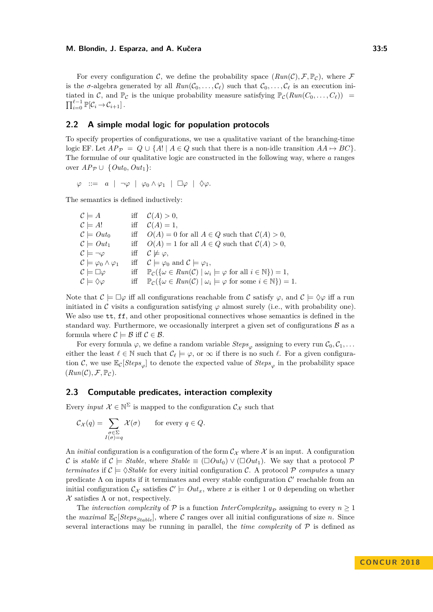For every configuration C, we define the probability space  $(Run(\mathcal{C}), \mathcal{F}, \mathbb{P}_{\mathcal{C}})$ , where F is the  $\sigma$ -algebra generated by all  $Run(\mathcal{C}_0, \ldots, \mathcal{C}_\ell)$  such that  $\mathcal{C}_0, \ldots, \mathcal{C}_\ell$  is an execution initiated in C, and  $\mathbb{P}_{\mathcal{C}}$  is the unique probability measure satisfying  $\mathbb{P}_{\mathcal{C}}(Run(C_0, \ldots, C_\ell))$  =  $\prod_{i=0}^{\ell-1} \mathbb{P}[\mathcal{C}_i \rightarrow \mathcal{C}_{i+1}]$ .

## <span id="page-4-0"></span>**2.2 A simple modal logic for population protocols**

To specify properties of configurations, we use a qualitative variant of the branching-time logic EF. Let  $AP_{\mathcal{P}} = Q \cup \{A! \mid A \in Q \text{ such that there is a non-idle transition } AA \mapsto BC\}.$ The formulae of our qualitative logic are constructed in the following way, where *a* ranges over  $AP_{\mathcal{P}} \cup \{Out_0, Out_1\}$ :

 $\varphi$  ::= *a* | ¬*ϕ* | *ϕ*<sub>0</sub>  $\wedge$  *ϕ*<sub>1</sub> | □ $\varphi$  |  $\Diamond$ *ϕ*.

The semantics is defined inductively:

| $\mathcal{C} \models A$                          |     | iff $C(A) > 0$ ,                                                                                                                     |
|--------------------------------------------------|-----|--------------------------------------------------------------------------------------------------------------------------------------|
| $C \models A!$                                   |     | iff $C(A) = 1$ ,                                                                                                                     |
| $\mathcal{C}\models Out_0$                       |     | iff $O(A) = 0$ for all $A \in Q$ such that $C(A) > 0$ ,                                                                              |
| $\mathcal{C} \models Out_1$                      |     | iff $O(A) = 1$ for all $A \in Q$ such that $C(A) > 0$ ,                                                                              |
| $\mathcal{C} \models \neg \varphi$               |     | iff $C \not\models \varphi$ ,                                                                                                        |
| $\mathcal{C} \models \varphi_0 \wedge \varphi_1$ |     | iff $\mathcal{C} \models \varphi_0$ and $\mathcal{C} \models \varphi_1$ ,                                                            |
| $\mathcal{C} \models \Box \varphi$               |     | iff $\mathbb{P}_{\mathcal{C}}(\{\omega \in Run(\mathcal{C}) \mid \omega_i \models \varphi \text{ for all } i \in \mathbb{N}\}) = 1,$ |
| $\mathcal{C} \models \Diamond \varphi$           | iff | $\mathbb{P}_{\mathcal{C}}(\{\omega \in Run(\mathcal{C}) \mid \omega_i \models \varphi \text{ for some } i \in \mathbb{N}\}) = 1.$    |

Note that  $\mathcal{C} \models \Box \varphi$  iff all configurations reachable from C satisfy  $\varphi$ , and  $\mathcal{C} \models \Diamond \varphi$  iff a run initiated in C visits a configuration satisfying  $\varphi$  almost surely (i.e., with probability one). We also use  $tt, ff,$  and other propositional connectives whose semantics is defined in the standard way. Furthermore, we occasionally interpret a given set of configurations  $\beta$  as a formula where  $\mathcal{C} \models \mathcal{B}$  iff  $\mathcal{C} \in \mathcal{B}$ .

For every formula  $\varphi$ , we define a random variable  $Steps_{\varphi}$  assigning to every run  $C_0, C_1, \ldots$ either the least  $\ell \in \mathbb{N}$  such that  $\mathcal{C}_{\ell} \models \varphi$ , or  $\infty$  if there is no such  $\ell$ . For a given configuration C, we use  $\mathbb{E}_{\mathcal{C}}[Steps_{\varphi}]$  to denote the expected value of  $Steps_{\varphi}$  in the probability space  $(Run(\mathcal{C}), \mathcal{F}, \mathbb{P}_{\mathcal{C}}).$ 

## **2.3 Computable predicates, interaction complexity**

Every *input*  $\mathcal{X} \in \mathbb{N}^{\Sigma}$  is mapped to the configuration  $\mathcal{C}_{\mathcal{X}}$  such that

$$
\mathcal{C}_{\mathcal{X}}(q) = \sum_{\substack{\sigma \in \Sigma \\ I(\sigma) = q}} \mathcal{X}(\sigma) \quad \text{for every } q \in Q.
$$

An *initial* configuration is a configuration of the form  $\mathcal{C}_{\mathcal{X}}$  where  $\mathcal{X}$  is an input. A configuration C is *stable* if  $C \models$  *Stable*, where *Stable*  $\equiv (\Box Out_0) \vee (\Box Out_1)$ . We say that a protocol P *terminates* if  $\mathcal{C} \models \Diamond$ *Stable* for every initial configuration  $\mathcal{C}$ . A protocol  $\mathcal{P}$  *computes* a unary predicate  $\Lambda$  on inputs if it terminates and every stable configuration  $\mathcal{C}'$  reachable from an initial configuration  $\mathcal{C}_{\mathcal{X}}$  satisfies  $\mathcal{C}' \models Out_x$ , where *x* is either 1 or 0 depending on whether  $\mathcal X$  satisfies  $\Lambda$  or not, respectively.

The *interaction complexity* of  $P$  is a function *InterComplexity<sub>P</sub>* assigning to every  $n \geq 1$ the *maximal*  $\mathbb{E}_{\mathcal{C}}[Steps_{Stable}]$ , where  $\mathcal{C}$  ranges over all initial configurations of size *n*. Since several interactions may be running in parallel, the *time complexity* of  $P$  is defined as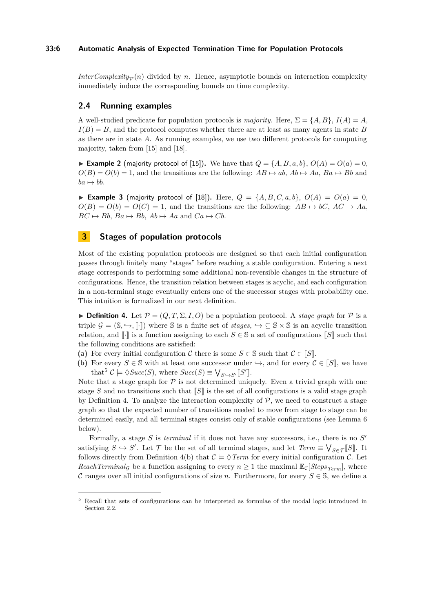### **33:6 Automatic Analysis of Expected Termination Time for Population Protocols**

*InterComplexity*<sub> $\sigma$ </sub> $(n)$  divided by *n*. Hence, asymptotic bounds on interaction complexity immediately induce the corresponding bounds on time complexity.

### **2.4 Running examples**

A well-studied predicate for population protocols is *majority*. Here,  $\Sigma = \{A, B\}$ ,  $I(A) = A$ ,  $I(B) = B$ , and the protocol computes whether there are at least as many agents in state *B* as there are in state *A*. As running examples, we use two different protocols for computing majority, taken from [\[15\]](#page-15-13) and [\[18\]](#page-15-14).

<span id="page-5-4"></span>**Example 2** (majority protocol of [\[15\]](#page-15-13)). We have that  $Q = \{A, B, a, b\}$ ,  $O(A) = O(a) = 0$ ,  $O(B) = O(b) = 1$ , and the transitions are the following:  $AB \mapsto ab$ ,  $Ab \mapsto Aa$ ,  $Ba \mapsto Bb$  and  $ba \mapsto bb$ .

<span id="page-5-3"></span>**Example 3** (majority protocol of [\[18\]](#page-15-14)). Here,  $Q = \{A, B, C, a, b\}$ ,  $O(A) = O(a) = 0$ ,  $O(B) = O(b) = O(C) = 1$ , and the transitions are the following:  $AB \mapsto bC$ ,  $AC \mapsto Aa$ ,  $BC \rightarrow Bb$ ,  $Ba \rightarrow Bb$ ,  $Ab \rightarrow Aa$  and  $Ca \rightarrow Cb$ .

# <span id="page-5-0"></span>**3 Stages of population protocols**

Most of the existing population protocols are designed so that each initial configuration passes through finitely many "stages" before reaching a stable configuration. Entering a next stage corresponds to performing some additional non-reversible changes in the structure of configurations. Hence, the transition relation between stages is acyclic, and each configuration in a non-terminal stage eventually enters one of the successor stages with probability one. This intuition is formalized in our next definition.

<span id="page-5-2"></span>**Definition 4.** Let  $\mathcal{P} = (Q, T, \Sigma, I, O)$  be a population protocol. A *stage graph* for  $\mathcal{P}$  is a triple  $\mathcal{G} = (\mathbb{S}, \hookrightarrow, \llbracket \cdot \rrbracket)$  where  $\mathbb{S}$  is a finite set of *stages*,  $\hookrightarrow \subseteq \mathbb{S} \times \mathbb{S}$  is an acyclic transition relation, and  $\lbrack \cdot \rbrack$  is a function assigning to each  $S \in \mathbb{S}$  a set of configurations  $\lbrack \lbrack S \rbrack$  such that the following conditions are satisfied:

- (a) For every initial configuration C there is some  $S \in \mathbb{S}$  such that  $C \in [S]$ .
- **(b)** For every  $S \in \mathcal{S}$  with at least one successor under  $\hookrightarrow$ , and for every  $C \in \llbracket S \rrbracket$ , we have that<sup>[5](#page-5-1)</sup>  $\mathcal{C} \models \Diamond Succ(S)$ , where  $Succ(S) \equiv \bigvee_{S \hookrightarrow S'} [S']$ .

Note that a stage graph for  $P$  is not determined uniquely. Even a trivial graph with one stage *S* and no transitions such that  $\llbracket S \rrbracket$  is the set of all configurations is a valid stage graph by Definition [4.](#page-5-2) To analyze the interaction complexity of  $P$ , we need to construct a stage graph so that the expected number of transitions needed to move from stage to stage can be determined easily, and all terminal stages consist only of stable configurations (see Lemma [6](#page-6-0) below).

Formally, a stage *S* is *terminal* if it does not have any successors, i.e., there is no *S'* satisfying  $S \hookrightarrow S'$ . Let  $\mathcal T$  be the set of all terminal stages, and let  $Term \equiv \bigvee_{S \in \mathcal T} [S]$ . It follows directly from Definition [4\(](#page-5-2)b) that  $\mathcal{C} \models \Diamond \text{Term}$  for every initial configuration  $\mathcal{C}$ . Let *ReachTerminal<sub>G</sub>* be a function assigning to every  $n \geq 1$  the maximal  $\mathbb{E}_{\mathcal{C}}[Steps_{Term}]$ , where C ranges over all initial configurations of size *n*. Furthermore, for every  $S \in \mathbb{S}$ , we define a

<span id="page-5-1"></span><sup>5</sup> Recall that sets of configurations can be interpreted as formulae of the modal logic introduced in Section [2.2.](#page-4-0)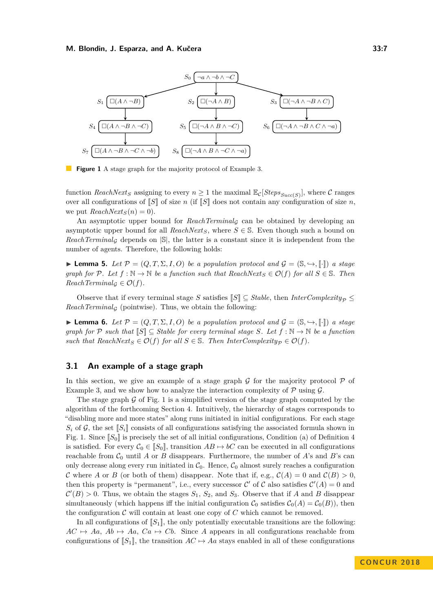<span id="page-6-1"></span>

**Figure 1** A stage graph for the majority protocol of Example [3.](#page-5-3)

function *ReachNext<sub>S</sub>* assigning to every  $n \geq 1$  the maximal  $\mathbb{E}_{\mathcal{C}}[Steps_{Succ(S)}]$ , where  $\mathcal{C}$  ranges over all configurations of  $\llbracket S \rrbracket$  of size *n* (if  $\llbracket S \rrbracket$  does not contain any configuration of size *n*, we put  $ReachNext<sub>S</sub>(n) = 0$ .

An asymptotic upper bound for *ReachTerminal<sub>G</sub>* can be obtained by developing an asymptotic upper bound for all *ReachNext*<sub>*S*</sub>, where  $S \in \mathbb{S}$ . Even though such a bound on  $ReachTerminal_G$  depends on  $|\mathcal{S}|$ , the latter is a constant since it is independent from the number of agents. Therefore, the following holds:

**► Lemma 5.** *Let*  $\mathcal{P} = (Q, T, \Sigma, I, O)$  *be a population protocol and*  $\mathcal{G} = (\mathbb{S}, \hookrightarrow, \llbracket \cdot \rrbracket)$  *a stage graph for*  $P$ *. Let*  $f : \mathbb{N} \to \mathbb{N}$  *be a function such that*  $ReachNext_S \in \mathcal{O}(f)$  *for all*  $S \in \mathbb{S}$ *. Then*  $ReachTerminal_G \in \mathcal{O}(f)$ .

Observe that if every terminal stage *S* satisfies  $\llbracket S \rrbracket \subseteq Stable$ , then *InterComplexity*<sub> $\mathcal{P}} \leq$ </sub>  $ReachTerminal_G$  (pointwise). Thus, we obtain the following:

<span id="page-6-0"></span>**► Lemma 6.** *Let*  $\mathcal{P} = (Q, T, \Sigma, I, O)$  *be a population protocol and*  $\mathcal{G} = (\mathbb{S}, \hookrightarrow, [\cdot])$  *a stage graph for*  $P$  *such that*  $\mathbb{S} \subseteq$  *Stable for every terminal stage*  $S$ *. Let*  $f : \mathbb{N} \to \mathbb{N}$  *be a function such that*  $ReachNext_S \in \mathcal{O}(f)$  *for all*  $S \in \mathbb{S}$ *. Then*  $InterComplexity_{\mathcal{D}} \in \mathcal{O}(f)$ *.* 

## **3.1 An example of a stage graph**

In this section, we give an example of a stage graph  $\mathcal G$  for the majority protocol  $\mathcal P$  of Example [3,](#page-5-3) and we show how to analyze the interaction complexity of  $P$  using  $\mathcal{G}$ .

The stage graph  $\mathcal G$  of Fig. [1](#page-6-1) is a simplified version of the stage graph computed by the algorithm of the forthcoming Section [4.](#page-7-0) Intuitively, the hierarchy of stages corresponds to "disabling more and more states" along runs initiated in initial configurations. For each stage  $S_i$  of  $\mathcal{G}$ , the set  $\llbracket S_i \rrbracket$  consists of all configurations satisfying the associated formula shown in Fig. [1.](#page-6-1) Since  $\llbracket S_0 \rrbracket$  is precisely the set of all initial configurations, Condition (a) of Definition [4](#page-5-2) is satisfied. For every  $C_0 \in [S_0]$ , transition  $AB \mapsto bC$  can be executed in all configurations reachable from  $C_0$  until *A* or *B* disappears. Furthermore, the number of *A*'s and *B*'s can only decrease along every run initiated in  $C_0$ . Hence,  $C_0$  almost surely reaches a configuration C where A or B (or both of them) disappear. Note that if, e.g.,  $\mathcal{C}(A) = 0$  and  $\mathcal{C}(B) > 0$ . then this property is "permanent", i.e., every successor C' of C also satisfies  $C'(A) = 0$  and  $\mathcal{C}'(B) > 0$ . Thus, we obtain the stages  $S_1$ ,  $S_2$ , and  $S_3$ . Observe that if *A* and *B* disappear simultaneously (which happens iff the initial configuration  $\mathcal{C}_0$  satisfies  $\mathcal{C}_0(A) = \mathcal{C}_0(B)$ ), then the configuration  $C$  will contain at least one copy of  $C$  which cannot be removed.

In all configurations of  $\llbracket S_1 \rrbracket$ , the only potentially executable transitions are the following:  $AC \rightarrow Aa$ ,  $Ab \rightarrow Aa$ ,  $Ca \rightarrow Cb$ . Since *A* appears in all configurations reachable from configurations of  $[[S_1]]$ , the transition  $AC \rightarrow Aa$  stays enabled in all of these configurations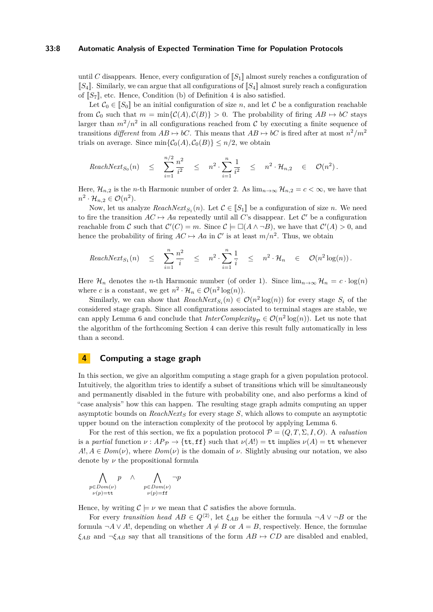#### **33:8 Automatic Analysis of Expected Termination Time for Population Protocols**

until *C* disappears. Hence, every configuration of  $\llbracket S_1 \rrbracket$  almost surely reaches a configuration of  $\llbracket S_4 \rrbracket$ . Similarly, we can argue that all configurations of  $\llbracket S_4 \rrbracket$  almost surely reach a configuration of  $\llbracket S_7 \rrbracket$ , etc. Hence, Condition (b) of Definition [4](#page-5-2) is also satisfied.

Let  $C_0 \in [S_0]$  be an initial configuration of size *n*, and let C be a configuration reachable from  $C_0$  such that  $m = \min\{C(A), C(B)\} > 0$ . The probability of firing  $AB \mapsto bC$  stays larger than  $m^2/n^2$  in all configurations reached from  $\mathcal C$  by executing a finite sequence of transitions *different* from  $AB \mapsto bC$ . This means that  $AB \mapsto bC$  is fired after at most  $n^2/m^2$ trials on average. Since  $\min{\{\mathcal{C}_0(A), \mathcal{C}_0(B)\}} \leq n/2$ , we obtain

$$
ReachNext_{S_0}(n) \leq \sum_{i=1}^{n/2} \frac{n^2}{i^2} \leq n^2 \cdot \sum_{i=1}^{n} \frac{1}{i^2} \leq n^2 \cdot \mathcal{H}_{n,2} \in \mathcal{O}(n^2).
$$

Here,  $\mathcal{H}_{n,2}$  is the *n*-th Harmonic number of order 2. As  $\lim_{n\to\infty}\mathcal{H}_{n,2}=c<\infty$ , we have that  $n^2 \cdot \mathcal{H}_{n,2} \in \mathcal{O}(n^2)$ .

Now, let us analyze  $ReachNext_{S_1}(n)$ . Let  $C \in [S_1]$  be a configuration of size *n*. We need to fire the transition  $AC \mapsto Aa$  repeatedly until all *C*'s disappear. Let *C*' be a configuration reachable from C such that  $C'(C) = m$ . Since  $C \models \Box(A \land \neg B)$ , we have that  $C'(A) > 0$ , and hence the probability of firing  $AC \mapsto Aa$  in C' is at least  $m/n^2$ . Thus, we obtain

$$
ReachNext_{S_1}(n) \leq \sum_{i=1}^n \frac{n^2}{i} \leq n^2 \cdot \sum_{i=1}^n \frac{1}{i} \leq n^2 \cdot \mathcal{H}_n \in \mathcal{O}(n^2 \log(n)).
$$

Here  $\mathcal{H}_n$  denotes the *n*-th Harmonic number (of order 1). Since  $\lim_{n\to\infty}\mathcal{H}_n = c \cdot \log(n)$ where *c* is a constant, we get  $n^2 \cdot \mathcal{H}_n \in \mathcal{O}(n^2 \log(n)).$ 

Similarly, we can show that  $ReachNext_{S_i}(n) \in \mathcal{O}(n^2 \log(n))$  for every stage  $S_i$  of the considered stage graph. Since all configurations associated to terminal stages are stable, we can apply Lemma [6](#page-6-0) and conclude that  $InterComplexity_{\mathcal{P}} \in \mathcal{O}(n^2 \log(n))$ . Let us note that the algorithm of the forthcoming Section [4](#page-7-0) can derive this result fully automatically in less than a second.

## <span id="page-7-0"></span>**4 Computing a stage graph**

In this section, we give an algorithm computing a stage graph for a given population protocol. Intuitively, the algorithm tries to identify a subset of transitions which will be simultaneously and permanently disabled in the future with probability one, and also performs a kind of "case analysis" how this can happen. The resulting stage graph admits computing an upper asymptotic bounds on *ReachNext<sup>S</sup>* for every stage *S*, which allows to compute an asymptotic upper bound on the interaction complexity of the protocol by applying Lemma [6.](#page-6-0)

For the rest of this section, we fix a population protocol  $\mathcal{P} = (Q, T, \Sigma, I, O)$ . A *valuation* is a *partial* function  $\nu : AP_{\mathcal{P}} \to \{\texttt{tt}, \texttt{ff}\}$  such that  $\nu(A!) = \texttt{tt}$  implies  $\nu(A) = \texttt{tt}$  whenever  $A!$ ,  $A \in Dom(\nu)$ , where  $Dom(\nu)$  is the domain of  $\nu$ . Slightly abusing our notation, we also denote by *ν* the propositional formula

$$
\bigwedge_{\substack{p \in Dom(\nu) \\ \nu(p)=\text{tt}}} p \land \bigwedge_{\substack{p \in Dom(\nu) \\ \nu(p)=\text{ff}}} \neg p
$$

Hence, by writing  $\mathcal{C} \models \nu$  we mean that C satisfies the above formula.

For every *transition head*  $AB \in Q^{\langle 2 \rangle}$ , let  $\xi_{AB}$  be either the formula  $\neg A \vee \neg B$  or the formula  $\neg A \lor A!$ , depending on whether  $A \neq B$  or  $A = B$ , respectively. Hence, the formulae  $\xi_{AB}$  and  $\neg \xi_{AB}$  say that all transitions of the form  $AB \mapsto CD$  are disabled and enabled,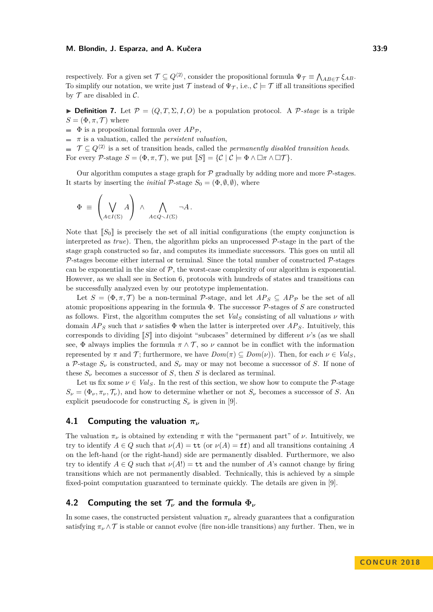respectively. For a given set  $\mathcal{T} \subseteq Q^{\langle 2 \rangle}$ , consider the propositional formula  $\Psi_{\mathcal{T}} \equiv \bigwedge_{AB \in \mathcal{T}} \xi_{AB}$ . To simplify our notation, we write just T instead of  $\Psi_{\mathcal{T}}$ , i.e.,  $\mathcal{C} \models \mathcal{T}$  iff all transitions specified by  $\mathcal T$  are disabled in  $\mathcal C$ .

**Definition 7.** Let  $\mathcal{P} = (Q, T, \Sigma, I, O)$  be a population protocol. A  $\mathcal{P}$ -stage is a triple  $S = (\Phi, \pi, \mathcal{T})$  where

 $\blacksquare$  **Φ** is a propositional formula over  $AP_{\mathcal{P}}$ ,

 $\blacksquare$  *π* is a valuation, called the *persistent valuation*,

 $\mathcal{T} \subseteq Q^{\langle 2 \rangle}$  is a set of transition heads, called the *permanently disabled transition heads*. For every P-stage  $S = (\Phi, \pi, \mathcal{T})$ , we put  $\llbracket S \rrbracket = \{ \mathcal{C} \mid \mathcal{C} \models \Phi \land \Box \pi \land \Box \mathcal{T} \}.$ 

Our algorithm computes a stage graph for  $P$  gradually by adding more and more  $P$ -stages. It starts by inserting the *initial*  $P$ -stage  $S_0 = (\Phi, \emptyset, \emptyset)$ , where

$$
\Phi = \left(\bigvee_{A \in I(\Sigma)} A\right) \wedge \bigwedge_{A \in Q \setminus I(\Sigma)} \neg A.
$$

Note that  $\llbracket S_0 \rrbracket$  is precisely the set of all initial configurations (the empty conjunction is interpreted as *true*). Then, the algorithm picks an unprocessed P-stage in the part of the stage graph constructed so far, and computes its immediate successors. This goes on until all  $P$ -stages become either internal or terminal. Since the total number of constructed  $P$ -stages can be exponential in the size of  $\mathcal{P}$ , the worst-case complexity of our algorithm is exponential. However, as we shall see in Section [6,](#page-13-0) protocols with hundreds of states and transitions can be successfully analyzed even by our prototype implementation.

Let  $S = (\Phi, \pi, \mathcal{T})$  be a non-terminal P-stage, and let  $AP_S \subseteq AP_{\mathcal{P}}$  be the set of all atomic propositions appearing in the formula Φ. The successor P-stages of *S* are constructed as follows. First, the algorithm computes the set  $Val_S$  consisting of all valuations  $\nu$  with domain  $AP<sub>S</sub>$  such that *ν* satisfies  $\Phi$  when the latter is interpreted over  $AP<sub>S</sub>$ . Intuitively, this corresponds to dividing [[*S*]] into disjoint "subcases" determined by different *ν*'s (as we shall see,  $\Phi$  always implies the formula  $\pi \wedge \mathcal{T}$ , so  $\nu$  cannot be in conflict with the information represented by  $\pi$  and  $\mathcal{T}$ ; furthermore, we have  $Dom(\pi) \subseteq Dom(\nu)$ ). Then, for each  $\nu \in Val_S$ , a P-stage  $S_\nu$  is constructed, and  $S_\nu$  may or may not become a successor of *S*. If none of these  $S_\nu$  becomes a successor of *S*, then *S* is declared as terminal.

Let us fix some  $\nu \in Val_S$ . In the rest of this section, we show how to compute the P-stage  $S_{\nu} = (\Phi_{\nu}, \pi_{\nu}, \mathcal{T}_{\nu})$ , and how to determine whether or not  $S_{\nu}$  becomes a successor of *S*. An explicit pseudocode for constructing  $S_\nu$  is given in [\[9\]](#page-15-0).

## **4.1 Computing the valuation** *π<sup>ν</sup>*

The valuation  $\pi_{\nu}$  is obtained by extending  $\pi$  with the "permanent part" of  $\nu$ . Intuitively, we try to identify  $A \in Q$  such that  $\nu(A) = \mathsf{tt}$  (or  $\nu(A) = \mathsf{ff}$ ) and all transitions containing A on the left-hand (or the right-hand) side are permanently disabled. Furthermore, we also try to identify  $A \in Q$  such that  $\nu(A!) = \mathtt{tt}$  and the number of A's cannot change by firing transitions which are not permanently disabled. Technically, this is achieved by a simple fixed-point computation guaranteed to terminate quickly. The details are given in [\[9\]](#page-15-0).

## **4.2 Computing the set T***<sup>ν</sup>* **and the formula Φ***<sup>ν</sup>*

In some cases, the constructed persistent valuation  $\pi_{\nu}$  already guarantees that a configuration satisfying  $\pi_{\nu} \wedge \mathcal{T}$  is stable or cannot evolve (fire non-idle transitions) any further. Then, we in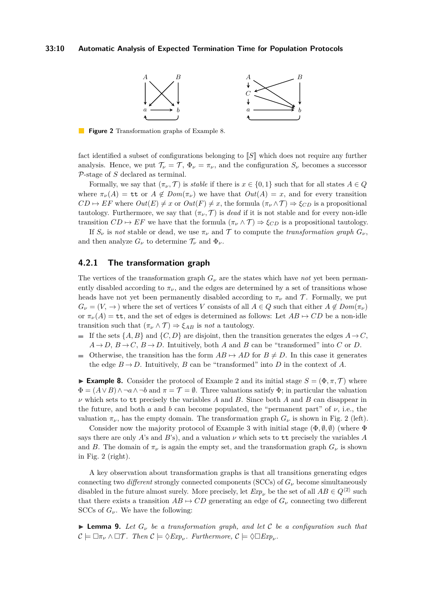#### <span id="page-9-1"></span>**33:10 Automatic Analysis of Expected Termination Time for Population Protocols**



**Figure 2** Transformation graphs of Example [8.](#page-9-0)

fact identified a subset of configurations belonging to [S] which does not require any further analysis. Hence, we put  $\mathcal{T}_{\nu} = \mathcal{T}, \Phi_{\nu} = \pi_{\nu}$ , and the configuration  $S_{\nu}$  becomes a successor P-stage of *S* declared as terminal.

Formally, we say that  $(\pi_{\nu}, \mathcal{T})$  is *stable* if there is  $x \in \{0, 1\}$  such that for all states  $A \in \mathcal{Q}$ where  $\pi_{\nu}(A) = \mathbf{t} \mathbf{t}$  or  $A \notin Dom(\pi_{\nu})$  we have that  $Out(A) = x$ , and for every transition  $CD \mapsto EF$  where  $Out(E) \neq x$  or  $Out(F) \neq x$ , the formula  $(\pi_{\nu} \wedge \mathcal{T}) \Rightarrow \xi_{CD}$  is a propositional tautology. Furthermore, we say that  $(\pi_{\nu}, \mathcal{T})$  is *dead* if it is not stable and for every non-idle transition  $CD \mapsto EF$  we have that the formula  $(\pi_{\nu} \wedge \mathcal{T}) \Rightarrow \xi_{CD}$  is a propositional tautology.

If  $S_\nu$  is *not* stable or dead, we use  $\pi_\nu$  and  $\mathcal T$  to compute the *transformation graph*  $G_\nu$ , and then analyze  $G_{\nu}$  to determine  $\mathcal{T}_{\nu}$  and  $\Phi_{\nu}$ .

## <span id="page-9-3"></span>**4.2.1 The transformation graph**

The vertices of the transformation graph  $G_{\nu}$  are the states which have *not* yet been permanently disabled according to  $\pi_{\nu}$ , and the edges are determined by a set of transitions whose heads have not yet been permanently disabled according to  $\pi_{\nu}$  and T. Formally, we put  $G_{\nu} = (V, \rightarrow)$  where the set of vertices *V* consists of all  $A \in Q$  such that either  $A \notin Dom(\pi_{\nu})$ or  $\pi_{\nu}(A) = \mathsf{tt}$ , and the set of edges is determined as follows: Let  $AB \mapsto CD$  be a non-idle transition such that  $(\pi_{\nu} \wedge \mathcal{T}) \Rightarrow \xi_{AB}$  is *not* a tautology.

- If the sets  $\{A, B\}$  and  $\{C, D\}$  are disjoint, then the transition generates the edges  $A \rightarrow C$ ,  $A \rightarrow D$ ,  $B \rightarrow C$ ,  $B \rightarrow D$ . Intuitively, both *A* and *B* can be "transformed" into *C* or *D*.
- Otherwise, the transition has the form  $AB \mapsto AD$  for  $B \neq D$ . In this case it generates the edge  $B \to D$ . Intuitively, *B* can be "transformed" into *D* in the context of *A*.

<span id="page-9-0"></span>**Example 8.** Consider the protocol of Example [2](#page-5-4) and its initial stage  $S = (\Phi, \pi, \mathcal{T})$  where  $\Phi = (A \vee B) \wedge \neg a \wedge \neg b$  and  $\pi = \mathcal{T} = \emptyset$ . Three valuations satisfy  $\Phi$ ; in particular the valuation *ν* which sets to tt precisely the variables *A* and *B*. Since both *A* and *B* can disappear in the future, and both *a* and *b* can become populated, the "permanent part" of *ν*, i.e., the valuation  $\pi_{\nu}$ , has the empty domain. The transformation graph  $G_{\nu}$  is shown in Fig. [2](#page-9-1) (left).

Consider now the majority protocol of Example [3](#page-5-3) with initial stage  $(\Phi, \emptyset, \emptyset)$  (where  $\Phi$ says there are only *A*'s and *B*'s), and a valuation  $\nu$  which sets to tt precisely the variables *A* and *B*. The domain of  $\pi_{\nu}$  is again the empty set, and the transformation graph  $G_{\nu}$  is shown in Fig. [2](#page-9-1) (right).

A key observation about transformation graphs is that all transitions generating edges connecting two *different* strongly connected components (SCCs) of  $G_{\nu}$  become simultaneously disabled in the future almost surely. More precisely, let  $Exp_{\nu}$  be the set of all  $AB \in Q^{\langle 2 \rangle}$  such that there exists a transition  $AB \rightarrow CD$  generating an edge of  $G_{\nu}$  connecting two different SCCs of  $G_{\nu}$ . We have the following:

<span id="page-9-2"></span>**I Lemma 9.** Let  $G_\nu$  be a transformation graph, and let C be a configuration such that  $\mathcal{C} \models \Box \pi_{\nu} \land \Box \mathcal{T}$ . Then  $\mathcal{C} \models \Diamond Exp_{\nu}$ . Furthermore,  $\mathcal{C} \models \Diamond \Box Exp_{\nu}$ .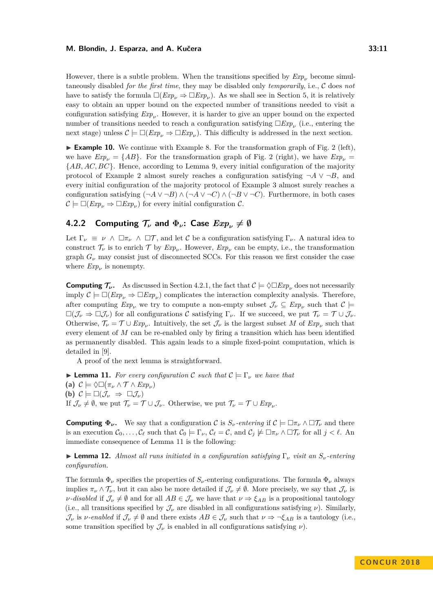However, there is a subtle problem. When the transitions specified by  $Exp<sub>ν</sub>$  become simultaneously disabled *for the first time*, they may be disabled only *temporarily*, i.e., C does *not* have to satisfy the formula  $\Box (Exp_{\nu} \Rightarrow \Box Exp_{\nu})$ . As we shall see in Section [5,](#page-12-0) it is relatively easy to obtain an upper bound on the expected number of transitions needed to visit a configuration satisfying  $Exp_\nu$ . However, it is harder to give an upper bound on the expected number of transitions needed to reach a configuration satisfying  $\Box Exp_\nu$  (i.e., entering the next stage) unless  $\mathcal{C} \models \Box (Exp_{\nu} \Rightarrow \Box Exp_{\nu})$ . This difficulty is addressed in the next section.

► **Example 10.** We continue with Example [8.](#page-9-0) For the transformation graph of Fig. [2](#page-9-1) (left), we have  $Exp_{\nu} = \{AB\}$ . For the transformation graph of Fig. [2](#page-9-1) (right), we have  $Exp_{\nu} =$ {*AB, AC, BC*}. Hence, according to Lemma [9,](#page-9-2) every initial configuration of the majority protocol of Example [2](#page-5-4) almost surely reaches a configuration satisfying  $\neg A \vee \neg B$ , and every initial configuration of the majority protocol of Example [3](#page-5-3) almost surely reaches a configuration satisfying  $(\neg A \lor \neg B) \land (\neg A \lor \neg C) \land (\neg B \lor \neg C)$ . Furthermore, in both cases  $\mathcal{C} \models \Box (Exp_{\nu} \Rightarrow \Box Exp_{\nu})$  for every initial configuration  $\mathcal{C}$ .

# **4.2.2** Computing  $\mathcal{T}_{\nu}$  and  $\Phi_{\nu}$ : Case  $Exp_{\nu} \neq \emptyset$

Let  $\Gamma_{\nu} \equiv \nu \wedge \square \tau_{\nu} \wedge \square \mathcal{T}$ , and let C be a configuration satisfying  $\Gamma_{\nu}$ . A natural idea to construct  $\mathcal{T}_{\nu}$  is to enrich  $\mathcal{T}$  by  $Exp_{\nu}$ . However,  $Exp_{\nu}$  can be empty, i.e., the transformation graph  $G_{\nu}$  may consist just of disconnected SCCs. For this reason we first consider the case where  $Exp_{\nu}$  is nonempty.

**Computing**  $\mathcal{T}_{\nu}$ . As discussed in Section [4.2.1,](#page-9-3) the fact that  $\mathcal{C} \models \Diamond \Box Exp_{\nu}$  does not necessarily imply  $\mathcal{C} \models \Box (Exp_{\nu} \Rightarrow \Box Exp_{\nu})$  complicates the interaction complexity analysis. Therefore, after computing  $Exp_{\nu}$  we try to compute a non-empty subset  $\mathcal{J}_{\nu} \subseteq Exp_{\nu}$  such that  $\mathcal{C} \models$  $\square(\mathcal{J}_{\nu} \Rightarrow \square \mathcal{J}_{\nu})$  for all configurations C satisfying  $\Gamma_{\nu}$ . If we succeed, we put  $\mathcal{T}_{\nu} = \mathcal{T} \cup \mathcal{J}_{\nu}$ . Otherwise,  $\mathcal{T}_{\nu} = \mathcal{T} \cup Exp_{\nu}$ . Intuitively, the set  $\mathcal{J}_{\nu}$  is the largest subset *M* of  $Exp_{\nu}$  such that every element of *M* can be re-enabled only by firing a transition which has been identified as permanently disabled. This again leads to a simple fixed-point computation, which is detailed in [\[9\]](#page-15-0).

A proof of the next lemma is straightforward.

<span id="page-10-0"></span>**I Lemma 11.** For every configuration C such that  $C \models \Gamma_{\nu}$  we have that **(a)**  $C \models \Diamond \Box (\pi_{\nu} \land \mathcal{T} \land Exp_{\nu})$ **(b)**  $\mathcal{C} \models \Box(\mathcal{J}_{\nu} \Rightarrow \Box \mathcal{J}_{\nu})$ If  $\mathcal{J}_{\nu} \neq \emptyset$ , we put  $\mathcal{T}_{\nu} = \mathcal{T} \cup \mathcal{J}_{\nu}$ . Otherwise, we put  $\mathcal{T}_{\nu} = \mathcal{T} \cup Exp_{\nu}$ .

**Computing**  $\Phi_{\nu}$ . We say that a configuration C is  $S_{\nu}$ -entering if  $C \models \Box \pi_{\nu} \land \Box \mathcal{T}_{\nu}$  and there is an execution  $\mathcal{C}_0, \ldots, \mathcal{C}_\ell$  such that  $\mathcal{C}_0 \models \Gamma_\nu, \mathcal{C}_\ell = \mathcal{C}$ , and  $\mathcal{C}_j \not\models \Box \pi_\nu \land \Box \mathcal{T}_\nu$  for all  $j < \ell$ . An immediate consequence of Lemma [11](#page-10-0) is the following:

I **Lemma 12.** *Almost all runs initiated in a configuration satisfying* Γ*<sup>ν</sup> visit an Sν-entering configuration.*

The formula  $\Phi_{\nu}$  specifies the properties of  $S_{\nu}$ -entering configurations. The formula  $\Phi_{\nu}$  always implies  $\pi_{\nu} \wedge \mathcal{T}_{\nu}$ , but it can also be more detailed if  $\mathcal{J}_{\nu} \neq \emptyset$ . More precisely, we say that  $\mathcal{J}_{\nu}$  is *ν-disabled* if  $\mathcal{J}_{\nu} \neq \emptyset$  and for all  $AB \in \mathcal{J}_{\nu}$  we have that  $\nu \Rightarrow \xi_{AB}$  is a propositional tautology (i.e., all transitions specified by  $\mathcal{J}_{\nu}$  are disabled in all configurations satisfying  $\nu$ ). Similarly,  $\mathcal{J}_{\nu}$  is *ν*-enabled if  $\mathcal{J}_{\nu} \neq \emptyset$  and there exists  $AB \in \mathcal{J}_{\nu}$  such that  $\nu \Rightarrow \neg \xi_{AB}$  is a tautology (i.e., some transition specified by  $\mathcal{J}_{\nu}$  is enabled in all configurations satisfying  $\nu$ ).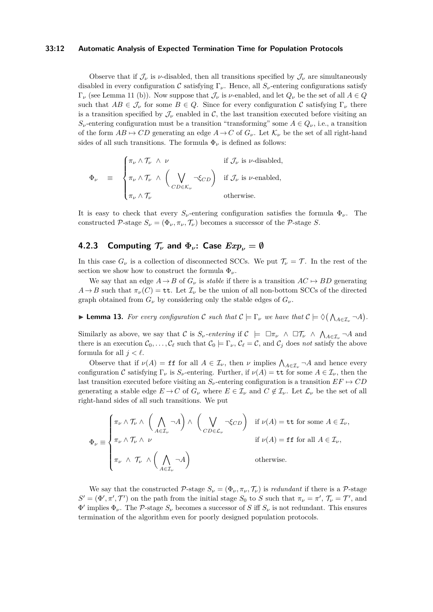#### **33:12 Automatic Analysis of Expected Termination Time for Population Protocols**

Observe that if  $\mathcal{J}_{\nu}$  is  $\nu$ -disabled, then all transitions specified by  $\mathcal{J}_{\nu}$  are simultaneously disabled in every configuration C satisfying  $\Gamma_{\nu}$ . Hence, all  $S_{\nu}$ -entering configurations satisfy Γ*<sup>ν</sup>* (see Lemma [11](#page-10-0) (b)). Now suppose that J*<sup>ν</sup>* is *ν*-enabled, and let *Q<sup>ν</sup>* be the set of all *A* ∈ *Q* such that  $AB \in \mathcal{J}_{\nu}$  for some  $B \in Q$ . Since for every configuration C satisfying  $\Gamma_{\nu}$  there is a transition specified by  $\mathcal{J}_{\nu}$  enabled in  $\mathcal{C}$ , the last transition executed before visiting an  $S_{\nu}$ -entering configuration must be a transition "transforming" some  $A \in Q_{\nu}$ , i.e., a transition of the form  $AB \mapsto CD$  generating an edge  $A \rightarrow C$  of  $G_{\nu}$ . Let  $\mathcal{K}_{\nu}$  be the set of all right-hand sides of all such transitions. The formula  $\Phi_{\nu}$  is defined as follows:

$$
\Phi_{\nu} = \begin{cases} \pi_{\nu} \wedge \mathcal{T}_{\nu} \wedge \nu & \text{if } \mathcal{J}_{\nu} \text{ is } \nu\text{-disabled,} \\ \pi_{\nu} \wedge \mathcal{T}_{\nu} \wedge \left( \bigvee_{CD \in \mathcal{K}_{\nu}} \neg \xi_{CD} \right) & \text{if } \mathcal{J}_{\nu} \text{ is } \nu\text{-enabled,} \\ \pi_{\nu} \wedge \mathcal{T}_{\nu} & \text{otherwise.} \end{cases}
$$

It is easy to check that every  $S_\nu$ -entering configuration satisfies the formula  $\Phi_\nu$ . The constructed P-stage  $S_\nu = (\Phi_\nu, \pi_\nu, \mathcal{T}_\nu)$  becomes a successor of the P-stage *S*.

# **4.2.3** Computing  $\mathcal{T}_{\nu}$  and  $\Phi_{\nu}$ : Case  $Exp_{\nu} = \emptyset$

In this case  $G_{\nu}$  is a collection of disconnected SCCs. We put  $\mathcal{T}_{\nu} = \mathcal{T}$ . In the rest of the section we show how to construct the formula  $\Phi_{\nu}$ .

We say that an edge  $A \rightarrow B$  of  $G_{\nu}$  is *stable* if there is a transition  $AC \rightarrow BD$  generating  $A \rightarrow B$  such that  $\pi_{\nu}(C) = \mathtt{tt}$ . Let  $\mathcal{I}_{\nu}$  be the union of all non-bottom SCCs of the directed graph obtained from  $G_\nu$  by considering only the stable edges of  $G_\nu$ .

**Example 13.** For every configuration C such that  $C \models \Gamma_{\nu}$  we have that  $C \models \Diamond(\bigwedge_{A \in \mathcal{I}_{\nu}} \neg A)$ .

Similarly as above, we say that C is  $S_\nu$ -entering if  $C \models \Box \pi_\nu \land \Box \mathcal{T}_\nu \land \bigwedge_{A \in \mathcal{I}_\nu} \neg A$  and there is an execution  $\mathcal{C}_0, \ldots, \mathcal{C}_\ell$  such that  $\mathcal{C}_0 \models \Gamma_\nu, \mathcal{C}_\ell = \mathcal{C}$ , and  $\mathcal{C}_j$  does *not* satisfy the above formula for all  $j < \ell$ .

Observe that if  $\nu(A) = \textbf{ff}$  for all  $A \in \mathcal{I}_{\nu}$ , then  $\nu$  implies  $\bigwedge_{A \in \mathcal{I}_{\nu}} \neg A$  and hence every configuration C satisfying  $\Gamma_{\nu}$  is  $S_{\nu}$ -entering. Further, if  $\nu(A) = \mathbf{t} \mathbf{t}$  for some  $A \in \mathcal{I}_{\nu}$ , then the last transition executed before visiting an  $S_\nu$ -entering configuration is a transition  $EF \mapsto CD$ generating a stable edge  $E \to C$  of  $G_{\nu}$  where  $E \in I_{\nu}$  and  $C \notin I_{\nu}$ . Let  $\mathcal{L}_{\nu}$  be the set of all right-hand sides of all such transitions. We put

$$
\Phi_{\nu} \equiv \begin{cases} \pi_{\nu} \wedge \mathcal{T}_{\nu} \wedge \left( \bigwedge_{A \in \mathcal{I}_{\nu}} \neg A \right) \wedge \left( \bigvee_{CD \in \mathcal{L}_{\nu}} \neg \xi_{CD} \right) & \text{if } \nu(A) = \text{tt for some } A \in \mathcal{I}_{\nu}, \\ \pi_{\nu} \wedge \mathcal{T}_{\nu} \wedge \nu & \text{if } \nu(A) = \text{ff for all } A \in \mathcal{I}_{\nu}, \\ \pi_{\nu} \wedge \mathcal{T}_{\nu} \wedge \left( \bigwedge_{A \in \mathcal{I}_{\nu}} \neg A \right) & \text{otherwise.} \end{cases}
$$

We say that the constructed  $\mathcal{P}$ -stage  $S_\nu = (\Phi_\nu, \pi_\nu, \mathcal{T}_\nu)$  is *redundant* if there is a  $\mathcal{P}$ -stage  $S' = (\Phi', \pi', \mathcal{T}')$  on the path from the initial stage  $S_0$  to *S* such that  $\pi_{\nu} = \pi', \mathcal{T}_{\nu} = \mathcal{T}'$ , and  $\Phi'$  implies  $\Phi_{\nu}$ . The P-stage  $S_{\nu}$  becomes a successor of *S* iff  $S_{\nu}$  is not redundant. This ensures termination of the algorithm even for poorly designed population protocols.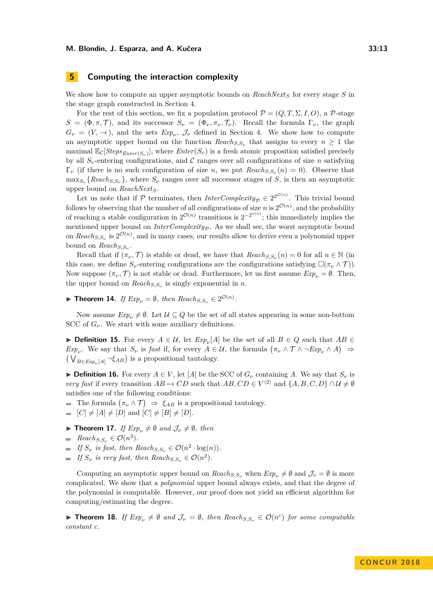## <span id="page-12-0"></span>**5 Computing the interaction complexity**

We show how to compute an upper asymptotic bounds on *ReachNext<sup>S</sup>* for every stage *S* in the stage graph constructed in Section [4.](#page-7-0)

For the rest of this section, we fix a population protocol  $\mathcal{P} = (Q, T, \Sigma, I, O)$ , a P-stage  $S = (\Phi, \pi, \mathcal{T})$ , and its successor  $S_\nu = (\Phi_\nu, \pi_\nu, \mathcal{T}_\nu)$ . Recall the formula  $\Gamma_\nu$ , the graph  $G_{\nu} = (V, \rightarrow)$ , and the sets  $Exp_{\nu}$ ,  $\mathcal{J}_{\nu}$  defined in Section [4.](#page-7-0) We show how to compute an asymptotic upper bound on the function  $Reach_{S,S_{\nu}}$  that assigns to every  $n \geq 1$  the maximal  $\mathbb{E}_{\mathcal{C}}[Steps_{Enter(S_{\nu})}]$ , where  $Enter(S_{\nu})$  is a fresh atomic proposition satisfied precisely by all  $S_\nu$ -entering configurations, and C ranges over all configurations of size *n* satisfying  $\Gamma_{\nu}$  (if there is no such configuration of size *n*, we put  $Reach_{S,S_{\nu}}(n) = 0$ ). Observe that  $\max_{S_{\nu}} \{Reach_{S,S_{\nu}}\},$  where  $S_{\nu}$  ranges over all successor stages of *S*, is then an asymptotic upper bound on *ReachNextS*.

Let us note that if  $P$  terminates, then *InterComplexity<sub>P</sub>*  $\in 2^{2^{\mathcal{O}(n)}}$ . This trivial bound follows by observing that the number of all configurations of size *n* is  $2^{\mathcal{O}(n)}$ , and the probability of reaching a stable configuration in  $2^{\mathcal{O}(n)}$  transitions is  $2^{-2^{o(n)}}$ ; this immediately implies the mentioned upper bound on *InterComplexity<sub>P</sub>*. As we shall see, the worst asymptotic bound on  $Reach_{S,S_{\nu}}$  is  $2^{\mathcal{O}(n)}$ , and in many cases, our results allow to derive even a polynomial upper bound on *ReachS,S<sup>ν</sup>* .

Recall that if  $(\pi_{\nu}, \mathcal{T})$  is stable or dead, we have that  $Reach_{S,S_{\nu}}(n) = 0$  for all  $n \in \mathbb{N}$  (in this case, we define  $S_\nu$ -entering configurations are the configurations satisfying  $\square(\pi_\nu \wedge \mathcal{T})$ ). Now suppose  $(\pi_{\nu}, \mathcal{T})$  is not stable or dead. Furthermore, let us first assume  $Exp_{\nu} = \emptyset$ . Then, the upper bound on  $Reach_{S,S_{\nu}}$  is singly exponential in *n*.

▶ **Theorem 14.** *If*  $Exp_{\nu} = \emptyset$ *, then*  $Reach_{S,S_{\nu}} \in 2^{\mathcal{O}(n)}$ *.* 

Now assume  $Exp_{\nu} \neq \emptyset$ . Let  $\mathcal{U} \subseteq Q$  be the set of all states appearing in some non-bottom SCC of  $G_{\nu}$ . We start with some auxiliary definitions.

**► Definition 15.** For every  $A \in \mathcal{U}$ , let  $Exp_{\nu}[A]$  be the set of all  $B \in Q$  such that  $AB \in \mathcal{U}$ *Exp<sub><i>v*</sub></sub>. We say that  $S_\nu$  is *fast* if, for every  $A \in \mathcal{U}$ , the formula  $(\pi_\nu \land \mathcal{T} \land \neg Exp_\nu \land A) \Rightarrow$  $(\bigvee_{B \in \text{Exp}_{\nu}[A]} \neg \xi_{AB})$  is a propositional tautology.

**► Definition 16.** For every  $A \in V$ , let [*A*] be the SCC of  $G_{\nu}$  containing *A*. We say that  $S_{\nu}$  is *very fast* if every transition  $AB \mapsto CD$  such that  $AB, CD \in V^{\langle 2 \rangle}$  and  $\{A, B, C, D\} \cap \mathcal{U} \neq \emptyset$ satisfies one of the following conditions:

- The formula  $(\pi_{\nu} \wedge \mathcal{T}) \Rightarrow \xi_{AB}$  is a propositional tautology.
- $[ C ] \neq [A] \neq [D]$  and  $[ C ] \neq [B] \neq [D]$ .
- **Find Theorem 17.** *If*  $Exp_{\nu} \neq \emptyset$  *and*  $\mathcal{J}_{\nu} \neq \emptyset$ *, then*
- $Reach_{S, S_\nu} \in \mathcal{O}(n^3)$ *.*
- *If*  $S_{\nu}$  *is fast, then*  $Reach_{S,S_{\nu}} \in \mathcal{O}(n^2 \cdot \log(n)).$
- *If*  $S_{\nu}$  *is very fast, then*  $Reach_{S,S_{\nu}} \in \mathcal{O}(n^2)$ *.*

Computing an asymptotic upper bound on  $Reach_{S,S_{\nu}}$  when  $Exp_{\nu} \neq \emptyset$  and  $\mathcal{J}_{\nu} = \emptyset$  is more complicated. We show that a *polynomial* upper bound always exists, and that the degree of the polynomial is computable. However, our proof does not yield an efficient algorithm for computing/estimating the degree.

**Find 18.** *If*  $Exp_{\nu} \neq \emptyset$  and  $\mathcal{J}_{\nu} = \emptyset$ , then  $Reach_{S,S_{\nu}} \in \mathcal{O}(n^c)$  for some computable *constant c.*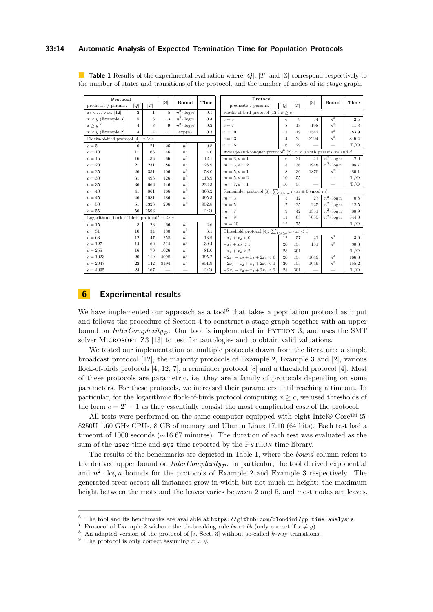#### **33:14 Automatic Analysis of Expected Termination Time for Population Protocols**

| Protocol                                                      |                |              |      |                          | Protocol |                                                                                   |                |       |       |                    |       |  |
|---------------------------------------------------------------|----------------|--------------|------|--------------------------|----------|-----------------------------------------------------------------------------------|----------------|-------|-------|--------------------|-------|--|
| predicate / params.                                           | Q              | T            | S    | Bound                    | Time     | predicate / params.                                                               | Q              | T     | S     | Bound              | Time  |  |
| $x_1 \vee \ldots \vee x_n$ [12]                               | $\overline{2}$ | $\mathbf{1}$ | 5    | $n^2 \cdot \log n$       | 0.1      | Flocks-of-bird protocol [12]: $x \geq c$                                          |                |       |       |                    |       |  |
| $x \geq y$ (Example 3)                                        | 5.             | 6            | 13   | $n^2 \cdot \log n$       | 0.4      | $c=5$                                                                             | 6              | 9     | 54    | $n^3$              | 2.5   |  |
| $x \ge y$ $^7$                                                | 4              | 3            | 9    | $n^2 \cdot \log n$       | 0.2      | $c=7$                                                                             | 8              | 13    | 198   | $n^3$              | 11.3  |  |
| $x \geq y$ (Example 2)                                        | 4              | 4            | 11   | $\exp(n)$                | 0.3      | $c=10$                                                                            | 11             | 19    | 1542  | $n^3$              | 83.9  |  |
| Flocks-of-bird protocol [4]: $x \geq c$                       |                |              |      |                          | $c=13$   | 14                                                                                | 25             | 12294 | $n^3$ | 816.4              |       |  |
| $c=5$                                                         | 6              | 21           | 26   | $\overline{n^3}$         | 0.8      | $c=15$                                                                            | 16             | 29    |       |                    | T/O   |  |
| $c=10$                                                        | 11             | 66           | 46   | $n^3$                    | 4.0      | Average-and-conquer protocol<br>$^{9}$ [2]: $x\geq y$ with params.<br>$m$ and $d$ |                |       |       |                    |       |  |
| $c=15$                                                        | 16             | 136          | 66   | $n^3$                    | 12.1     | $m = 3, d = 1$                                                                    | 6              | 21    | 41    | $n^2 \cdot \log n$ | 2.0   |  |
| $c=20$                                                        | 21             | 231          | 86   | $n^3$                    | 28.9     | $m = 3, d = 2$                                                                    | 8              | 36    | 1948  | $n^2 \cdot \log n$ | 98.7  |  |
| $c=25$                                                        | 26             | 351          | 106  | $n^3$                    | 58.0     | $m = 5, d = 1$                                                                    | 8              | 36    | 1870  | $n^3$              | 80.1  |  |
| $c=30$                                                        | 31             | 496          | 126  | $n^3$                    | 118.9    | $m = 5, d = 2$                                                                    | 10             | 55    |       |                    | T/O   |  |
| $c=35$                                                        | 36             | 666          | 146  | $n^3$                    | 222.3    | $m = 7, d = 1$                                                                    | 10             | 55    |       |                    | T/O   |  |
| $c=40$                                                        | 41             | 861          | 166  | $n^3$                    | 366.2    | Remainder protocol [8]: $\sum_{1\leq i < m} i \cdot x_i \equiv 0 \pmod{m}$        |                |       |       |                    |       |  |
| $c=45$                                                        | 46             | 1081         | 186  | $n^3$                    | 495.3    | $m=3$                                                                             | 5              | 12    | 27    | $n^2 \cdot \log n$ | 0.8   |  |
| $c=50$                                                        | 51             | 1326         | 206  | $n^3$                    | 952.8    | $m=5\,$                                                                           | $\overline{7}$ | 25    | 225   | $n^2 \cdot \log n$ | 12.5  |  |
| $c=55$                                                        | 56             | 1596         |      | $\overline{\phantom{0}}$ | T/O      | $m=7$                                                                             | 9              | 42    | 1351  | $n^2 \cdot \log n$ | 88.9  |  |
| Logarithmic flock-of-birds protocol <sup>8</sup> : $x \geq c$ |                |              |      |                          |          | $m = 9$                                                                           | 11             | 63    | 7035  | $n^2 \cdot \log n$ | 544.0 |  |
| $c=15$                                                        | 8              | 23           | 66   | $n^3$                    | 2.6      | $m=10$                                                                            | 12             | 75    |       |                    | T/O   |  |
| $c=31$                                                        | 10             | 34           | 130  | $n^3$                    | 6.1      | Threshold protocol [4]: $\sum_{1\leq i\leq k} a_i\cdot x_i < c$                   |                |       |       |                    |       |  |
| $c=63$                                                        | 12             | 47           | 258  | $n^3$                    | 13.9     | $-x_1+x_2 < 0$                                                                    | 12             | 57    | 21    | $n^3$              | 3.0   |  |
| $c = 127$                                                     | 14             | 62           | 514  | $n^3$                    | 39.4     | $-x_1+x_2<1$                                                                      | 20             | 155   | 131   | $n^3$              | 30.3  |  |
| $c = 255$                                                     | 16             | 79           | 1026 | $n^3$                    | 81.0     | $-x_1+x_2 < 2$                                                                    | 28             | 301   |       |                    | T/O   |  |
| $c = 1023$                                                    | 20             | 119          | 4098 | $n^3$                    | 395.7    | $-2x_1 - x_2 + x_3 + 2x_4 < 0$                                                    | 20             | 155   | 1049  | $n^3$              | 166.3 |  |
| $c = 2047$                                                    | 22             | 142          | 8194 | $n^3$                    | 851.9    | $-2x_1 - x_2 + x_3 + 2x_4 < 1$                                                    | 20             | 155   | 1049  | $n^3$              | 155.2 |  |
| $c = 4095$                                                    | 24             | 167          |      |                          | T/O      | $-2x_1 - x_2 + x_3 + 2x_4 < 2$                                                    | 28             | 301   |       |                    | T/O   |  |

<span id="page-13-5"></span>■ **Table 1** Results of the experimental evaluation where |Q|, |T| and |S| correspond respectively to the number of states and transitions of the protocol, and the number of nodes of its stage graph.

# <span id="page-13-0"></span>**6 Experimental results**

We have implemented our approach as a tool $<sup>6</sup>$  $<sup>6</sup>$  $<sup>6</sup>$  that takes a population protocol as input</sup> and follows the procedure of Section [4](#page-7-0) to construct a stage graph together with an upper bound on *InterComplexity<sub>P</sub>*. Our tool is implemented in PYTHON 3, and uses the SMT solver MICROSOFT Z3 [\[13\]](#page-15-16) to test for tautologies and to obtain valid valuations.

We tested our implementation on multiple protocols drawn from the literature: a simple broadcast protocol [\[12\]](#page-15-9), the majority protocols of Example [2,](#page-5-4) Example [3](#page-5-3) and [\[2\]](#page-14-6), various flock-of-birds protocols [\[4,](#page-14-1) [12,](#page-15-9) [7\]](#page-14-7), a remainder protocol [\[8\]](#page-15-15) and a threshold protocol [\[4\]](#page-14-1). Most of these protocols are parametric, i.e. they are a family of protocols depending on some parameters. For these protocols, we increased their parameters until reaching a timeout. In particular, for the logarithmic flock-of-birds protocol computing  $x \geq c$ , we used thresholds of the form  $c = 2^{i} - 1$  as they essentially consist the most complicated case of the protocol.

All tests were performed on the same computer equipped with eight Intel® Core<sup>™</sup> i5-8250U 1.60 GHz CPUs, 8 GB of memory and Ubuntu Linux 17.10 (64 bits). Each test had a timeout of 1000 seconds (∼16*.*67 minutes). The duration of each test was evaluated as the sum of the user time and sys time reported by the PYTHON time library.

The results of the benchmarks are depicted in Table [1,](#page-13-5) where the *bound* column refers to the derived upper bound on  $InterComplexity_{\mathcal{P}}$ . In particular, the tool derived exponential and  $n^2 \cdot \log n$  bounds for the protocols of Example [2](#page-5-4) and Example [3](#page-5-3) respectively. The generated trees across all instances grow in width but not much in height: the maximum height between the roots and the leaves varies between 2 and 5, and most nodes are leaves.

<span id="page-13-4"></span>The tool and its benchmarks are available at <https://github.com/blondimi/pp-time-analysis>.

<span id="page-13-1"></span>Protocol of Example [2](#page-5-4) without the tie-breaking rule  $ba \mapsto bb$  (only correct if  $x \neq y$ ).

<span id="page-13-2"></span><sup>8</sup> An adapted version of the protocol of [\[7,](#page-14-7) Sect. 3] without so-called *k*-way transitions.

<span id="page-13-3"></span><sup>&</sup>lt;sup>9</sup> The protocol is only correct assuming  $x \neq y$ .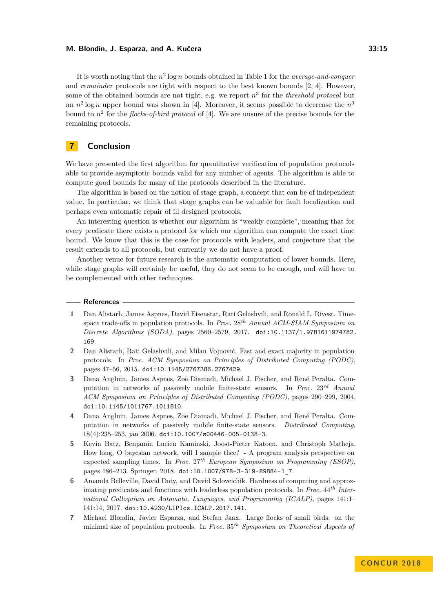It is worth noting that the *n* 2 log *n* bounds obtained in Table [1](#page-13-5) for the *average-and-conquer* and *remainder* protocols are tight with respect to the best known bounds [\[2,](#page-14-6) [4\]](#page-14-1). However, some of the obtained bounds are not tight, e.g. we report *n* 3 for the *threshold protocol* but an  $n^2 \log n$  upper bound was shown in [\[4\]](#page-14-1). Moreover, it seems possible to decrease the  $n^3$ bound to *n* 2 for the *flocks-of-bird protocol* of [\[4\]](#page-14-1). We are unsure of the precise bounds for the remaining protocols.

# <span id="page-14-5"></span>**7 Conclusion**

We have presented the first algorithm for quantitative verification of population protocols able to provide asymptotic bounds valid for any number of agents. The algorithm is able to compute good bounds for many of the protocols described in the literature.

The algorithm is based on the notion of stage graph, a concept that can be of independent value. In particular, we think that stage graphs can be valuable for fault localization and perhaps even automatic repair of ill designed protocols.

An interesting question is whether our algorithm is "weakly complete", meaning that for every predicate there exists a protocol for which our algorithm can compute the exact time bound. We know that this is the case for protocols with leaders, and conjecture that the result extends to all protocols, but currently we do not have a proof.

Another venue for future research is the automatic computation of lower bounds. Here, while stage graphs will certainly be useful, they do not seem to be enough, and will have to be complemented with other techniques.

#### **References**

- <span id="page-14-2"></span>**1** Dan Alistarh, James Aspnes, David Eisenstat, Rati Gelashvili, and Ronald L. Rivest. Timespace trade-offs in population protocols. In *Proc.* 28*th Annual ACM-SIAM Symposium on Discrete Algorithms (SODA)*, pages 2560–2579, 2017. [doi:10.1137/1.9781611974782.](http://dx.doi.org/10.1137/1.9781611974782.169) [169](http://dx.doi.org/10.1137/1.9781611974782.169).
- <span id="page-14-6"></span>**2** Dan Alistarh, Rati Gelashvili, and Milan Vojnović. Fast and exact majority in population protocols. In *Proc. ACM Symposium on Principles of Distributed Computing (PODC)*, pages 47–56, 2015. [doi:10.1145/2767386.2767429](http://dx.doi.org/10.1145/2767386.2767429).
- <span id="page-14-0"></span>**3** Dana Angluin, James Aspnes, Zoë Diamadi, Michael J. Fischer, and René Peralta. Computation in networks of passively mobile finite-state sensors. In *Proc.* 23*rd Annual ACM Symposium on Principles of Distributed Computing (PODC)*, pages 290–299, 2004. [doi:10.1145/1011767.1011810](http://dx.doi.org/10.1145/1011767.1011810).
- <span id="page-14-1"></span>**4** Dana Angluin, James Aspnes, Zoë Diamadi, Michael J. Fischer, and René Peralta. Computation in networks of passively mobile finite-state sensors. *Distributed Computing*, 18(4):235–253, jan 2006. [doi:10.1007/s00446-005-0138-3](http://dx.doi.org/10.1007/s00446-005-0138-3).
- <span id="page-14-4"></span>**5** Kevin Batz, Benjamin Lucien Kaminski, Joost-Pieter Katoen, and Christoph Matheja. How long, O bayesian network, will I sample thee? - A program analysis perspective on expected sampling times. In *Proc.* 27*th European Symposium on Programming (ESOP)*, pages 186–213. Springer, 2018. [doi:10.1007/978-3-319-89884-1\\_7](http://dx.doi.org/10.1007/978-3-319-89884-1_7).
- <span id="page-14-3"></span>**6** Amanda Belleville, David Doty, and David Soloveichik. Hardness of computing and approximating predicates and functions with leaderless population protocols. In *Proc.* 44*th International Colloquium on Automata, Languages, and Programming (ICALP)*, pages 141:1– 141:14, 2017. [doi:10.4230/LIPIcs.ICALP.2017.141](http://dx.doi.org/10.4230/LIPIcs.ICALP.2017.141).
- <span id="page-14-7"></span>**7** Michael Blondin, Javier Esparza, and Stefan Jaax. Large flocks of small birds: on the minimal size of population protocols. In *Proc.* 35*th Symposium on Theoretical Aspects of*